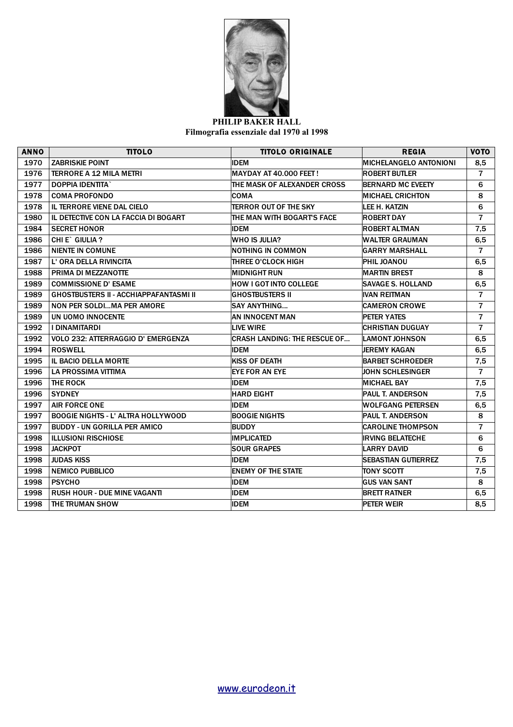

## **PHILIP BAKER HALL Filmografia essenziale dal 1970 al 1998**

| <b>ANNO</b> | <b>TITOLO</b>                                 | <b>TITOLO ORIGINALE</b>             | <b>REGIA</b>                  | <b>VOTO</b>    |
|-------------|-----------------------------------------------|-------------------------------------|-------------------------------|----------------|
| 1970        | <b>ZABRISKIE POINT</b>                        | IDEM                                | <b>MICHELANGELO ANTONIONI</b> | 8,5            |
| 1976        | <b>TERRORE A 12 MILA METRI</b>                | <b>MAYDAY AT 40.000 FEET!</b>       | <b>ROBERT BUTLER</b>          | $\overline{7}$ |
| 1977        | <b>DOPPIA IDENTITA</b>                        | THE MASK OF ALEXANDER CROSS         | <b>BERNARD MC EVEETY</b>      | 6              |
| 1978        | <b>COMA PROFONDO</b>                          | <b>COMA</b>                         | <b>MICHAEL CRICHTON</b>       | 8              |
| 1978        | IL TERRORE VIENE DAL CIELO                    | <b>TERROR OUT OF THE SKY</b>        | LEE H. KATZIN                 | 6              |
| 1980        | IL DETECTIVE CON LA FACCIA DI BOGART          | THE MAN WITH BOGART'S FACE          | <b>ROBERT DAY</b>             | $\overline{7}$ |
| 1984        | <b>SECRET HONOR</b>                           | <b>IDEM</b>                         | ROBERT ALTMAN                 | 7,5            |
| 1986        | CHI E` GIULIA?                                | WHO IS JULIA?                       | WALTER GRAUMAN                | 6,5            |
| 1986        | <b>NIENTE IN COMUNE</b>                       | <b>NOTHING IN COMMON</b>            | <b>GARRY MARSHALL</b>         | $\overline{7}$ |
| 1987        | L' ORA DELLA RIVINCITA                        | THREE O'CLOCK HIGH                  | <b>PHIL JOANOU</b>            | 6,5            |
| 1988        | PRIMA DI MEZZANOTTE                           | <b>MIDNIGHT RUN</b>                 | <b>MARTIN BREST</b>           | 8              |
| 1989        | <b>COMMISSIONE D'ESAME</b>                    | HOW I GOT INTO COLLEGE              | <b>SAVAGE S. HOLLAND</b>      | 6,5            |
| 1989        | <b>GHOSTBUSTERS II - ACCHIAPPAFANTASMI II</b> | <b>GHOSTBUSTERS II</b>              | <b>IVAN REITMAN</b>           | $\overline{7}$ |
| 1989        | NON PER SOLDIMA PER AMORE                     | <b>SAY ANYTHING</b>                 | <b>CAMERON CROWE</b>          | $\overline{7}$ |
| 1989        | UN UOMO INNOCENTE                             | AN INNOCENT MAN                     | <b>PETER YATES</b>            | $\overline{7}$ |
| 1992        | <b>I DINAMITARDI</b>                          | <b>LIVE WIRE</b>                    | <b>CHRISTIAN DUGUAY</b>       | $\overline{7}$ |
| 1992        | VOLO 232: ATTERRAGGIO D' EMERGENZA            | <b>CRASH LANDING: THE RESCUE OF</b> | <b>LAMONT JOHNSON</b>         | 6,5            |
| 1994        | <b>ROSWELL</b>                                | <b>IDEM</b>                         | <b>JEREMY KAGAN</b>           | 6,5            |
| 1995        | <b>IL BACIO DELLA MORTE</b>                   | <b>KISS OF DEATH</b>                | <b>BARBET SCHROEDER</b>       | 7,5            |
| 1996        | LA PROSSIMA VITTIMA                           | EYE FOR AN EYE                      | <b>JOHN SCHLESINGER</b>       | $\overline{7}$ |
| 1996        | THE ROCK                                      | <b>IDEM</b>                         | <b>MICHAEL BAY</b>            | 7,5            |
| 1996        | <b>SYDNEY</b>                                 | <b>HARD EIGHT</b>                   | <b>PAUL T. ANDERSON</b>       | 7,5            |
| 1997        | <b>AIR FORCE ONE</b>                          | IDEM                                | <b>WOLFGANG PETERSEN</b>      | 6,5            |
| 1997        | <b>BOOGIE NIGHTS - L' ALTRA HOLLYWOOD</b>     | <b>BOOGIE NIGHTS</b>                | <b>PAUL T. ANDERSON</b>       | 8              |
| 1997        | <b>BUDDY - UN GORILLA PER AMICO</b>           | <b>BUDDY</b>                        | <b>CAROLINE THOMPSON</b>      | $\overline{7}$ |
| 1998        | <b>ILLUSIONI RISCHIOSE</b>                    | <b>IMPLICATED</b>                   | <b>IRVING BELATECHE</b>       | 6              |
| 1998        | <b>JACKPOT</b>                                | <b>SOUR GRAPES</b>                  | <b>LARRY DAVID</b>            | 6              |
| 1998        | <b>JUDAS KISS</b>                             | <b>IDEM</b>                         | <b>SEBASTIAN GUTIERREZ</b>    | 7,5            |
| 1998        | <b>NEMICO PUBBLICO</b>                        | <b>ENEMY OF THE STATE</b>           | <b>TONY SCOTT</b>             | 7,5            |
| 1998        | <b>PSYCHO</b>                                 | <b>IDEM</b>                         | <b>GUS VAN SANT</b>           | 8              |
| 1998        | <b>RUSH HOUR - DUE MINE VAGANTI</b>           | <b>IDEM</b>                         | <b>BRETT RATNER</b>           | 6,5            |
| 1998        | THE TRUMAN SHOW                               | <b>IDEM</b>                         | <b>PETER WEIR</b>             | 8,5            |